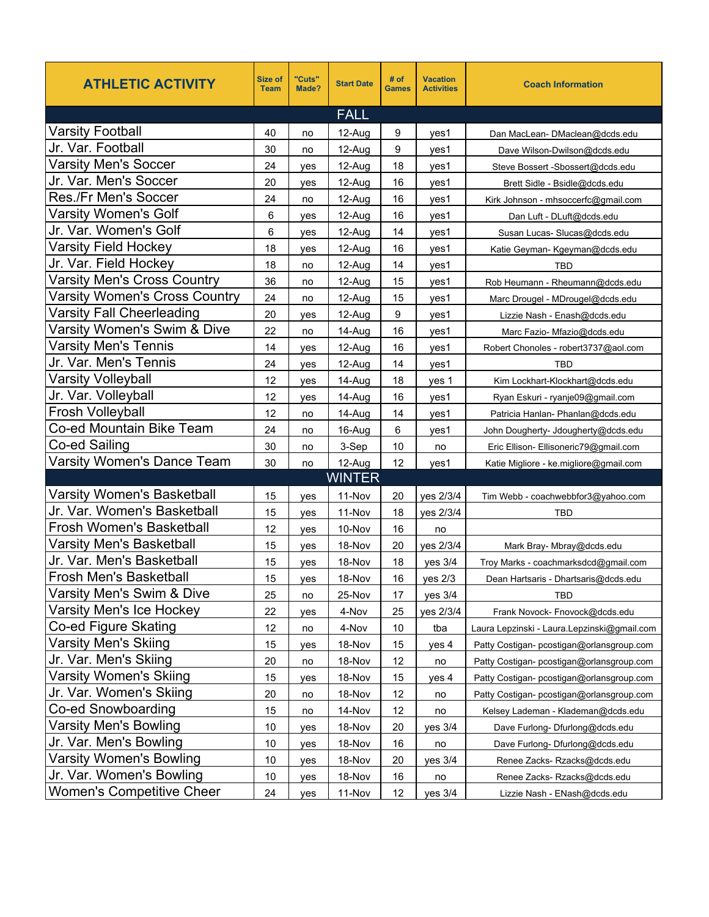| <b>ATHLETIC ACTIVITY</b>          | Size of<br><b>Team</b> | "Cuts"<br>Made? | <b>Start Date</b> | # of<br><b>Games</b> | <b>Vacation</b><br><b>Activities</b> | <b>Coach Information</b>                    |
|-----------------------------------|------------------------|-----------------|-------------------|----------------------|--------------------------------------|---------------------------------------------|
|                                   |                        |                 | <b>FALL</b>       |                      |                                      |                                             |
| <b>Varsity Football</b>           | 40                     | no              | 12-Aug            | 9                    | yes1                                 | Dan MacLean-DMaclean@dcds.edu               |
| Jr. Var. Football                 | 30                     | no              | 12-Aug            | 9                    | ves1                                 | Dave Wilson-Dwilson@dcds.edu                |
| <b>Varsity Men's Soccer</b>       | 24                     | yes             | 12-Aug            | 18                   | yes1                                 | Steve Bossert - Sbossert@dcds.edu           |
| Jr. Var. Men's Soccer             | 20                     | yes             | 12-Aug            | 16                   | yes1                                 | Brett Sidle - Bsidle@dcds.edu               |
| Res./Fr Men's Soccer              | 24                     | no              | 12-Aug            | 16                   | yes1                                 | Kirk Johnson - mhsoccerfc@gmail.com         |
| Varsity Women's Golf              | 6                      | yes             | 12-Aug            | 16                   | yes1                                 | Dan Luft - DLuft@dcds.edu                   |
| Jr. Var. Women's Golf             | 6                      | yes             | 12-Aug            | 14                   | yes1                                 | Susan Lucas-Slucas@dcds.edu                 |
| Varsity Field Hockey              | 18                     | yes             | 12-Aug            | 16                   | yes1                                 | Katie Geyman- Kgeyman@dcds.edu              |
| Jr. Var. Field Hockey             | 18                     | no              | 12-Aug            | 14                   | yes1                                 | TBD                                         |
| Varsity Men's Cross Country       | 36                     | no              | 12-Aug            | 15                   | yes1                                 | Rob Heumann - Rheumann@dcds.edu             |
| Varsity Women's Cross Country     | 24                     | no              | 12-Aug            | 15                   | yes1                                 | Marc Drougel - MDrougel@dcds.edu            |
| Varsity Fall Cheerleading         | 20                     | yes             | 12-Aug            | 9                    | yes1                                 | Lizzie Nash - Enash@dcds.edu                |
| Varsity Women's Swim & Dive       | 22                     | no              | 14-Aug            | 16                   | yes1                                 | Marc Fazio- Mfazio@dcds.edu                 |
| Varsity Men's Tennis              | 14                     | yes             | 12-Aug            | 16                   | yes1                                 | Robert Chonoles - robert3737@aol.com        |
| Jr. Var. Men's Tennis             | 24                     | yes             | 12-Aug            | 14                   | yes1                                 | <b>TBD</b>                                  |
| Varsity Volleyball                | 12                     | yes             | 14-Aug            | 18                   | yes 1                                | Kim Lockhart-Klockhart@dcds.edu             |
| Jr. Var. Volleyball               | 12                     | yes             | 14-Aug            | 16                   | yes1                                 | Ryan Eskuri - ryanje09@gmail.com            |
| <b>Frosh Volleyball</b>           | 12                     | no              | 14-Aug            | 14                   | yes1                                 | Patricia Hanlan- Phanlan@dcds.edu           |
| Co-ed Mountain Bike Team          | 24                     | no              | 16-Aug            | 6                    | yes1                                 | John Dougherty- Jdougherty@dcds.edu         |
| Co-ed Sailing                     | 30                     | no              | 3-Sep             | 10                   | no                                   | Eric Ellison- Ellisoneric79@gmail.com       |
| Varsity Women's Dance Team        | 30                     | no              | 12-Aug            | 12                   | yes1                                 | Katie Migliore - ke.migliore@gmail.com      |
|                                   |                        |                 | <b>WINTER</b>     |                      |                                      |                                             |
| <b>Varsity Women's Basketball</b> | 15                     | yes             | 11-Nov            | 20                   | yes 2/3/4                            | Tim Webb - coachwebbfor3@yahoo.com          |
| Jr. Var. Women's Basketball       | 15                     | yes             | 11-Nov            | 18                   | yes 2/3/4                            | TBD                                         |
| Frosh Women's Basketball          | 12                     | yes             | 10-Nov            | 16                   | no                                   |                                             |
| <b>Varsity Men's Basketball</b>   | 15                     | yes             | 18-Nov            | 20                   | yes 2/3/4                            | Mark Bray- Mbray@dcds.edu                   |
| Jr. Var. Men's Basketball         | 15                     | yes             | 18-Nov            | 18                   | yes 3/4                              | Troy Marks - coachmarksdcd@gmail.com        |
| <b>Frosh Men's Basketball</b>     | 15                     | yes             | 18-Nov            | 16                   | yes 2/3                              | Dean Hartsaris - Dhartsaris@dcds.edu        |
| Varsity Men's Swim & Dive         | 25                     | no              | 25-Nov            | 17                   | yes 3/4                              | <b>TBD</b>                                  |
| Varsity Men's Ice Hockey          | 22                     | yes             | 4-Nov             | 25                   | yes 2/3/4                            | Frank Novock- Fnovock@dcds.edu              |
| Co-ed Figure Skating              | 12                     | no              | 4-Nov             | 10                   | tba                                  | Laura Lepzinski - Laura Lepzinski@gmail.com |
| Varsity Men's Skiing              | 15                     | yes             | 18-Nov            | 15                   | yes 4                                | Patty Costigan- pcostigan@orlansgroup.com   |
| Jr. Var. Men's Skiing             | 20                     | no              | 18-Nov            | 12                   | no                                   | Patty Costigan- pcostigan@orlansgroup.com   |
| Varsity Women's Skiing            | 15                     | yes             | 18-Nov            | 15                   | yes 4                                | Patty Costigan- pcostigan@orlansgroup.com   |
| Jr. Var. Women's Skiing           | 20                     | no              | 18-Nov            | 12                   | no                                   | Patty Costigan- pcostigan@orlansgroup.com   |
| Co-ed Snowboarding                | 15                     | no              | 14-Nov            | 12                   | no                                   | Kelsey Lademan - Klademan@dcds.edu          |
| Varsity Men's Bowling             | 10                     | yes             | 18-Nov            | 20                   | yes 3/4                              | Dave Furlong-Dfurlong@dcds.edu              |
| Jr. Var. Men's Bowling            | 10                     | yes             | 18-Nov            | 16                   | no                                   | Dave Furlong-Dfurlong@dcds.edu              |
| Varsity Women's Bowling           | 10                     | yes             | 18-Nov            | 20                   | yes 3/4                              | Renee Zacks- Rzacks@dcds.edu                |
| Jr. Var. Women's Bowling          | 10                     | yes             | 18-Nov            | 16                   | no                                   | Renee Zacks- Rzacks@dcds.edu                |
| <b>Women's Competitive Cheer</b>  | 24                     | yes             | 11-Nov            | 12                   | yes 3/4                              | Lizzie Nash - ENash@dcds.edu                |